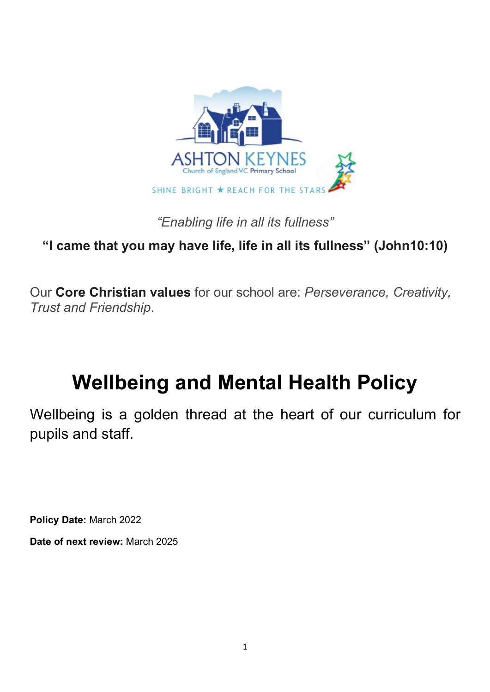

*"Enabling life in all its fullness"*

**"I came that you may have life, life in all its fullness" (John10:10)**

Our **Core Christian values** for our school are: *Perseverance, Creativity, Trust and Friendship*.

# **Wellbeing and Mental Health Policy**

Wellbeing is a golden thread at the heart of our curriculum for pupils and staff.

**Policy Date:** March 2022

**Date of next review:** March 2025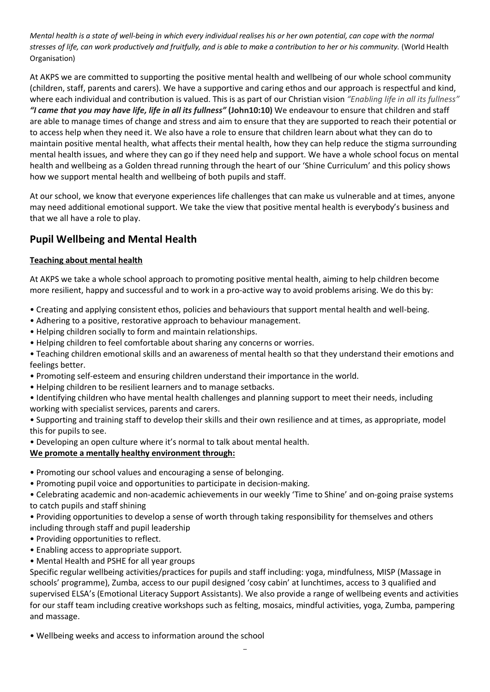*Mental health is a state of well-being in which every individual realises his or her own potential, can cope with the normal stresses of life, can work productively and fruitfully, and is able to make a contribution to her or his community.* (World Health Organisation)

At AKPS we are committed to supporting the positive mental health and wellbeing of our whole school community (children, staff, parents and carers). We have a supportive and caring ethos and our approach is respectful and kind, where each individual and contribution is valued. This is as part of our Christian vision *"Enabling life in all its fullness" "I came that you may have life, life in all its fullness"* **(John10:10)** We endeavour to ensure that children and staff are able to manage times of change and stress and aim to ensure that they are supported to reach their potential or to access help when they need it. We also have a role to ensure that children learn about what they can do to maintain positive mental health, what affects their mental health, how they can help reduce the stigma surrounding mental health issues, and where they can go if they need help and support. We have a whole school focus on mental health and wellbeing as a Golden thread running through the heart of our 'Shine Curriculum' and this policy shows how we support mental health and wellbeing of both pupils and staff.

At our school, we know that everyone experiences life challenges that can make us vulnerable and at times, anyone may need additional emotional support. We take the view that positive mental health is everybody's business and that we all have a role to play.

# **Pupil Wellbeing and Mental Health**

# **Teaching about mental health**

At AKPS we take a whole school approach to promoting positive mental health, aiming to help children become more resilient, happy and successful and to work in a pro-active way to avoid problems arising. We do this by:

- Creating and applying consistent ethos, policies and behaviours that support mental health and well-being.
- Adhering to a positive, restorative approach to behaviour management.
- Helping children socially to form and maintain relationships.
- Helping children to feel comfortable about sharing any concerns or worries.
- Teaching children emotional skills and an awareness of mental health so that they understand their emotions and feelings better.
- Promoting self-esteem and ensuring children understand their importance in the world.
- Helping children to be resilient learners and to manage setbacks.
- Identifying children who have mental health challenges and planning support to meet their needs, including working with specialist services, parents and carers.
- Supporting and training staff to develop their skills and their own resilience and at times, as appropriate, model this for pupils to see.
- Developing an open culture where it's normal to talk about mental health.

# **We promote a mentally healthy environment through:**

- Promoting our school values and encouraging a sense of belonging.
- Promoting pupil voice and opportunities to participate in decision-making.
- Celebrating academic and non-academic achievements in our weekly 'Time to Shine' and on-going praise systems to catch pupils and staff shining
- Providing opportunities to develop a sense of worth through taking responsibility for themselves and others including through staff and pupil leadership
- Providing opportunities to reflect.
- Enabling access to appropriate support.
- Mental Health and PSHE for all year groups

Specific regular wellbeing activities/practices for pupils and staff including: yoga, mindfulness, MISP (Massage in schools' programme), Zumba, access to our pupil designed 'cosy cabin' at lunchtimes, access to 3 qualified and supervised ELSA's (Emotional Literacy Support Assistants). We also provide a range of wellbeing events and activities for our staff team including creative workshops such as felting, mosaics, mindful activities, yoga, Zumba, pampering and massage.

• Wellbeing weeks and access to information around the school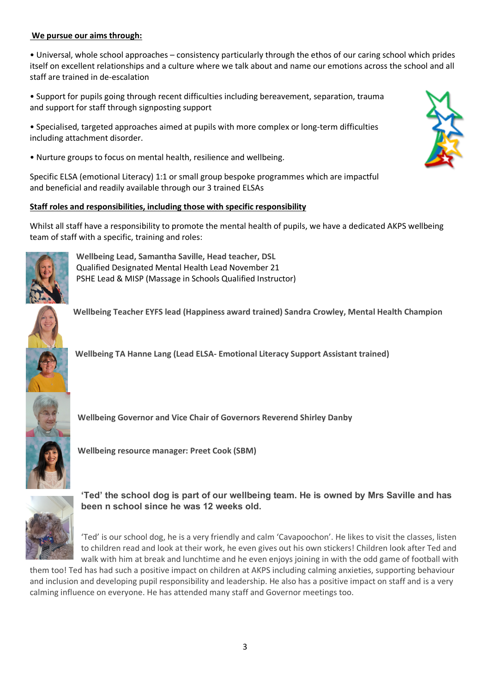# **We pursue our aims through:**

• Universal, whole school approaches – consistency particularly through the ethos of our caring school which prides itself on excellent relationships and a culture where we talk about and name our emotions across the school and all staff are trained in de-escalation

• Support for pupils going through recent difficulties including bereavement, separation, trauma and support for staff through signposting support

• Specialised, targeted approaches aimed at pupils with more complex or long-term difficulties including attachment disorder.

• Nurture groups to focus on mental health, resilience and wellbeing.

Specific ELSA (emotional Literacy) 1:1 or small group bespoke programmes which are impactful and beneficial and readily available through our 3 trained ELSAs

# **Staff roles and responsibilities, including those with specific responsibility**

Whilst all staff have a responsibility to promote the mental health of pupils, we have a dedicated AKPS wellbeing team of staff with a specific, training and roles:



**Wellbeing Lead, Samantha Saville, Head teacher, DSL** Qualified Designated Mental Health Lead November 21 PSHE Lead & MISP (Massage in Schools Qualified Instructor)

**Wellbeing Teacher EYFS lead (Happiness award trained) Sandra Crowley, Mental Health Champion**

![](_page_2_Picture_11.jpeg)

![](_page_2_Picture_12.jpeg)

**Wellbeing Governor and Vice Chair of Governors Reverend Shirley Danby**

**Wellbeing resource manager: Preet Cook (SBM)**

![](_page_2_Picture_15.jpeg)

**'Ted' the school dog is part of our wellbeing team. He is owned by Mrs Saville and has been n school since he was 12 weeks old.** 

'Ted' is our school dog, he is a very friendly and calm 'Cavapoochon'. He likes to visit the classes, listen to children read and look at their work, he even gives out his own stickers! Children look after Ted and walk with him at break and lunchtime and he even enjoys joining in with the odd game of football with

them too! Ted has had such a positive impact on children at AKPS including calming anxieties, supporting behaviour and inclusion and developing pupil responsibility and leadership. He also has a positive impact on staff and is a very calming influence on everyone. He has attended many staff and Governor meetings too.

![](_page_2_Picture_19.jpeg)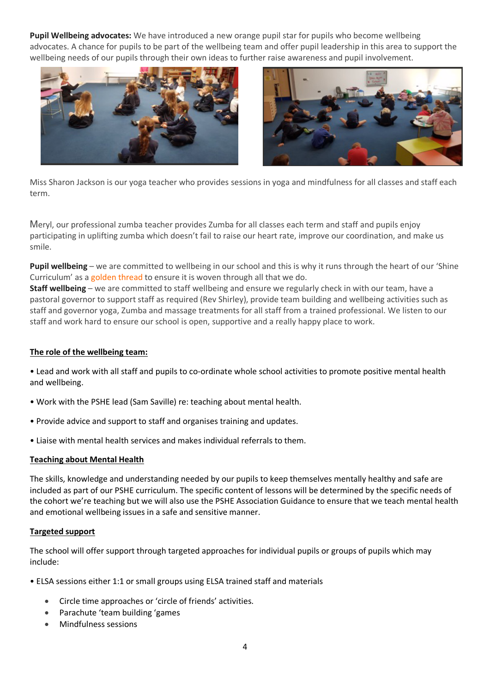**Pupil Wellbeing advocates:** We have introduced a new orange pupil star for pupils who become wellbeing advocates. A chance for pupils to be part of the wellbeing team and offer pupil leadership in this area to support the wellbeing needs of our pupils through their own ideas to further raise awareness and pupil involvement.

![](_page_3_Picture_1.jpeg)

![](_page_3_Picture_2.jpeg)

Miss Sharon Jackson is our yoga teacher who provides sessions in yoga and mindfulness for all classes and staff each term.

Meryl, our professional zumba teacher provides Zumba for all classes each term and staff and pupils enjoy participating in uplifting zumba which doesn't fail to raise our heart rate, improve our coordination, and make us smile.

**Pupil wellbeing** – we are committed to wellbeing in our school and this is why it runs through the heart of our 'Shine Curriculum' as a golden thread to ensure it is woven through all that we do.

**Staff wellbeing** – we are committed to staff wellbeing and ensure we regularly check in with our team, have a pastoral governor to support staff as required (Rev Shirley), provide team building and wellbeing activities such as staff and governor yoga, Zumba and massage treatments for all staff from a trained professional. We listen to our staff and work hard to ensure our school is open, supportive and a really happy place to work.

## **The role of the wellbeing team:**

• Lead and work with all staff and pupils to co-ordinate whole school activities to promote positive mental health and wellbeing.

- Work with the PSHE lead (Sam Saville) re: teaching about mental health.
- Provide advice and support to staff and organises training and updates.
- Liaise with mental health services and makes individual referrals to them.

#### **Teaching about Mental Health**

The skills, knowledge and understanding needed by our pupils to keep themselves mentally healthy and safe are included as part of our PSHE curriculum. The specific content of lessons will be determined by the specific needs of the cohort we're teaching but we will also use the PSHE Association Guidance to ensure that we teach mental health and emotional wellbeing issues in a safe and sensitive manner.

#### **Targeted support**

The school will offer support through targeted approaches for individual pupils or groups of pupils which may include:

• ELSA sessions either 1:1 or small groups using ELSA trained staff and materials

- Circle time approaches or 'circle of friends' activities.
- Parachute 'team building 'games
- Mindfulness sessions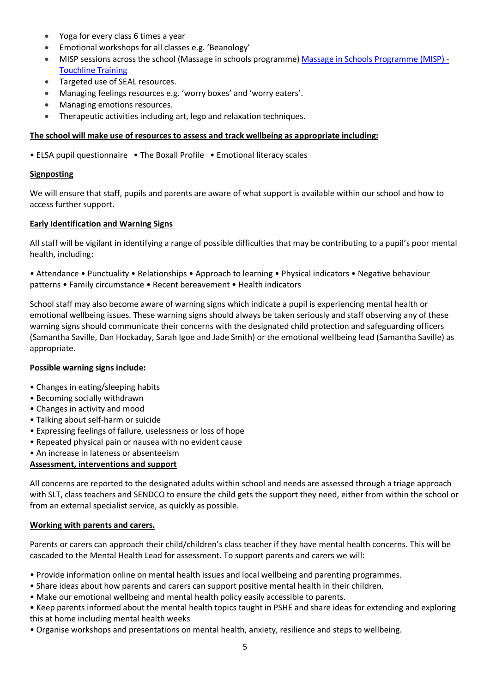- Yoga for every class 6 times a year
- Emotional workshops for all classes e.g. 'Beanology'
- MISP sessions across the school (Massage in schools programme) Massage in Schools Programme (MISP) Touchline Training
- Targeted use of SEAL resources.
- Managing feelings resources e.g. 'worry boxes' and 'worry eaters'.
- Managing emotions resources.
- Therapeutic activities including art, lego and relaxation techniques.

#### **The school will make use of resources to assess and track wellbeing as appropriate including:**

• ELSA pupil questionnaire • The Boxall Profile • Emotional literacy scales

#### **Signposting**

We will ensure that staff, pupils and parents are aware of what support is available within our school and how to access further support.

#### **Early Identification and Warning Signs**

All staff will be vigilant in identifying a range of possible difficulties that may be contributing to a pupil's poor mental health, including:

• Attendance • Punctuality • Relationships • Approach to learning • Physical indicators • Negative behaviour patterns • Family circumstance • Recent bereavement • Health indicators

School staff may also become aware of warning signs which indicate a pupil is experiencing mental health or emotional wellbeing issues. These warning signs should always be taken seriously and staff observing any of these warning signs should communicate their concerns with the designated child protection and safeguarding officers (Samantha Saville, Dan Hockaday, Sarah Igoe and Jade Smith) or the emotional wellbeing lead (Samantha Saville) as appropriate.

#### **Possible warning signs include:**

- Changes in eating/sleeping habits
- Becoming socially withdrawn
- Changes in activity and mood
- Talking about self-harm or suicide
- Expressing feelings of failure, uselessness or loss of hope
- Repeated physical pain or nausea with no evident cause
- An increase in lateness or absenteeism

## **Assessment, interventions and support**

All concerns are reported to the designated adults within school and needs are assessed through a triage approach with SLT, class teachers and SENDCO to ensure the child gets the support they need, either from within the school or from an external specialist service, as quickly as possible.

## **Working with parents and carers.**

Parents or carers can approach their child/children's class teacher if they have mental health concerns. This will be cascaded to the Mental Health Lead for assessment. To support parents and carers we will:

• Provide information online on mental health issues and local wellbeing and parenting programmes.

- Share ideas about how parents and carers can support positive mental health in their children.
- Make our emotional wellbeing and mental health policy easily accessible to parents.
- Keep parents informed about the mental health topics taught in PSHE and share ideas for extending and exploring this at home including mental health weeks
- Organise workshops and presentations on mental health, anxiety, resilience and steps to wellbeing.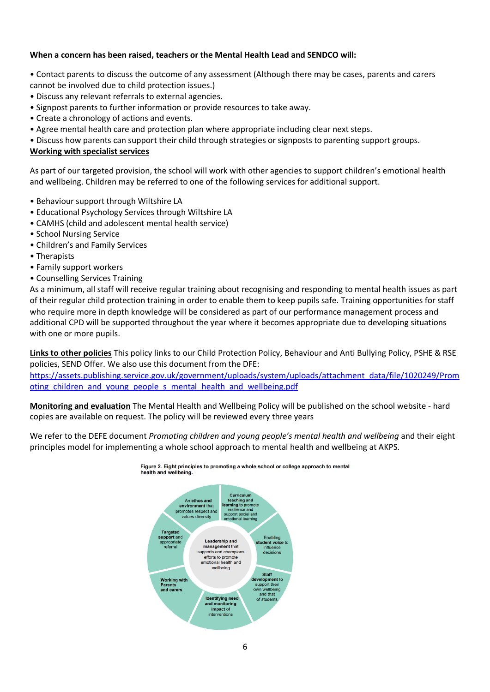#### **When a concern has been raised, teachers or the Mental Health Lead and SENDCO will:**

- Contact parents to discuss the outcome of any assessment (Although there may be cases, parents and carers cannot be involved due to child protection issues.)
- Discuss any relevant referrals to external agencies.
- Signpost parents to further information or provide resources to take away.
- Create a chronology of actions and events.
- Agree mental health care and protection plan where appropriate including clear next steps.
- Discuss how parents can support their child through strategies or signposts to parenting support groups.

#### **Working with specialist services**

As part of our targeted provision, the school will work with other agencies to support children's emotional health and wellbeing. Children may be referred to one of the following services for additional support.

- Behaviour support through Wiltshire LA
- Educational Psychology Services through Wiltshire LA
- CAMHS (child and adolescent mental health service)
- School Nursing Service
- Children's and Family Services
- Therapists
- Family support workers
- Counselling Services Training

As a minimum, all staff will receive regular training about recognising and responding to mental health issues as part of their regular child protection training in order to enable them to keep pupils safe. Training opportunities for staff who require more in depth knowledge will be considered as part of our performance management process and additional CPD will be supported throughout the year where it becomes appropriate due to developing situations with one or more pupils.

**Links to other policies** This policy links to our Child Protection Policy, Behaviour and Anti Bullying Policy, PSHE & RSE policies, SEND Offer. We also use this document from the DFE:

https://assets.publishing.service.gov.uk/government/uploads/system/uploads/attachment\_data/file/1020249/Prom oting children and young people s mental health and wellbeing.pdf

**Monitoring and evaluation** The Mental Health and Wellbeing Policy will be published on the school website - hard copies are available on request. The policy will be reviewed every three years

We refer to the DEFE document *Promoting children and young people's mental health and wellbeing* and their eight principles model for implementing a whole school approach to mental health and wellbeing at AKPS.

![](_page_5_Figure_22.jpeg)

![](_page_5_Figure_23.jpeg)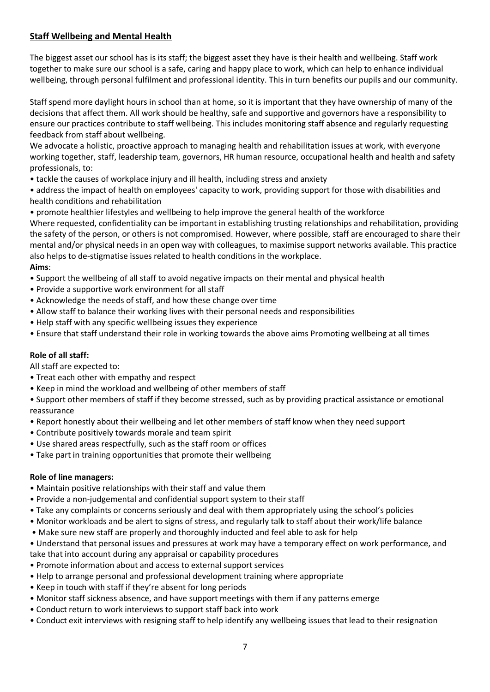# **Staff Wellbeing and Mental Health**

The biggest asset our school has is its staff; the biggest asset they have is their health and wellbeing. Staff work together to make sure our school is a safe, caring and happy place to work, which can help to enhance individual wellbeing, through personal fulfilment and professional identity. This in turn benefits our pupils and our community.

Staff spend more daylight hours in school than at home, so it is important that they have ownership of many of the decisions that affect them. All work should be healthy, safe and supportive and governors have a responsibility to ensure our practices contribute to staff wellbeing. This includes monitoring staff absence and regularly requesting feedback from staff about wellbeing.

We advocate a holistic, proactive approach to managing health and rehabilitation issues at work, with everyone working together, staff, leadership team, governors, HR human resource, occupational health and health and safety professionals, to:

• tackle the causes of workplace injury and ill health, including stress and anxiety

• address the impact of health on employees' capacity to work, providing support for those with disabilities and health conditions and rehabilitation

• promote healthier lifestyles and wellbeing to help improve the general health of the workforce

Where requested, confidentiality can be important in establishing trusting relationships and rehabilitation, providing the safety of the person, or others is not compromised. However, where possible, staff are encouraged to share their mental and/or physical needs in an open way with colleagues, to maximise support networks available. This practice also helps to de-stigmatise issues related to health conditions in the workplace.

#### **Aims**:

- Support the wellbeing of all staff to avoid negative impacts on their mental and physical health
- Provide a supportive work environment for all staff
- Acknowledge the needs of staff, and how these change over time
- Allow staff to balance their working lives with their personal needs and responsibilities
- Help staff with any specific wellbeing issues they experience
- Ensure that staff understand their role in working towards the above aims Promoting wellbeing at all times

## **Role of all staff:**

All staff are expected to:

- Treat each other with empathy and respect
- Keep in mind the workload and wellbeing of other members of staff

• Support other members of staff if they become stressed, such as by providing practical assistance or emotional reassurance

- Report honestly about their wellbeing and let other members of staff know when they need support
- Contribute positively towards morale and team spirit
- Use shared areas respectfully, such as the staff room or offices
- Take part in training opportunities that promote their wellbeing

#### **Role of line managers:**

- Maintain positive relationships with their staff and value them
- Provide a non-judgemental and confidential support system to their staff
- Take any complaints or concerns seriously and deal with them appropriately using the school's policies
- Monitor workloads and be alert to signs of stress, and regularly talk to staff about their work/life balance
- Make sure new staff are properly and thoroughly inducted and feel able to ask for help
- Understand that personal issues and pressures at work may have a temporary effect on work performance, and take that into account during any appraisal or capability procedures
- Promote information about and access to external support services
- Help to arrange personal and professional development training where appropriate
- Keep in touch with staff if they're absent for long periods
- Monitor staff sickness absence, and have support meetings with them if any patterns emerge
- Conduct return to work interviews to support staff back into work
- Conduct exit interviews with resigning staff to help identify any wellbeing issues that lead to their resignation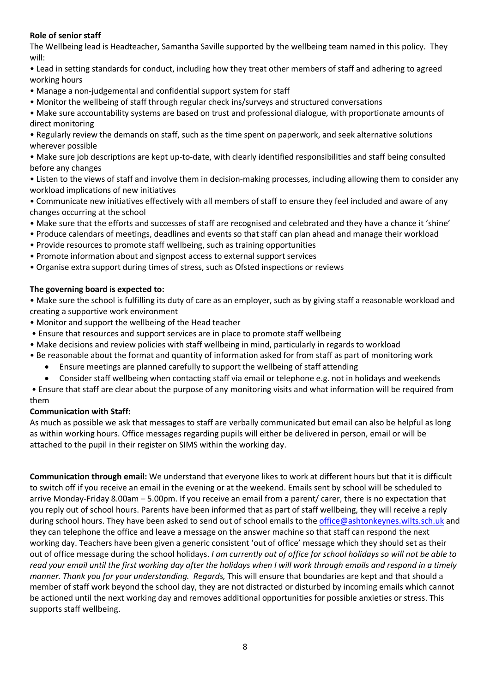# **Role of senior staff**

The Wellbeing lead is Headteacher, Samantha Saville supported by the wellbeing team named in this policy. They will:

• Lead in setting standards for conduct, including how they treat other members of staff and adhering to agreed working hours

- Manage a non-judgemental and confidential support system for staff
- Monitor the wellbeing of staff through regular check ins/surveys and structured conversations

• Make sure accountability systems are based on trust and professional dialogue, with proportionate amounts of direct monitoring

• Regularly review the demands on staff, such as the time spent on paperwork, and seek alternative solutions wherever possible

• Make sure job descriptions are kept up-to-date, with clearly identified responsibilities and staff being consulted before any changes

• Listen to the views of staff and involve them in decision-making processes, including allowing them to consider any workload implications of new initiatives

• Communicate new initiatives effectively with all members of staff to ensure they feel included and aware of any changes occurring at the school

- Make sure that the efforts and successes of staff are recognised and celebrated and they have a chance it 'shine'
- Produce calendars of meetings, deadlines and events so that staff can plan ahead and manage their workload
- Provide resources to promote staff wellbeing, such as training opportunities
- Promote information about and signpost access to external support services
- Organise extra support during times of stress, such as Ofsted inspections or reviews

# **The governing board is expected to:**

• Make sure the school is fulfilling its duty of care as an employer, such as by giving staff a reasonable workload and creating a supportive work environment

- Monitor and support the wellbeing of the Head teacher
- Ensure that resources and support services are in place to promote staff wellbeing
- Make decisions and review policies with staff wellbeing in mind, particularly in regards to workload
- Be reasonable about the format and quantity of information asked for from staff as part of monitoring work
	- Ensure meetings are planned carefully to support the wellbeing of staff attending
	- Consider staff wellbeing when contacting staff via email or telephone e.g. not in holidays and weekends

• Ensure that staff are clear about the purpose of any monitoring visits and what information will be required from them

## **Communication with Staff:**

As much as possible we ask that messages to staff are verbally communicated but email can also be helpful as long as within working hours. Office messages regarding pupils will either be delivered in person, email or will be attached to the pupil in their register on SIMS within the working day.

**Communication through email:** We understand that everyone likes to work at different hours but that it is difficult to switch off if you receive an email in the evening or at the weekend. Emails sent by school will be scheduled to arrive Monday-Friday 8.00am – 5.00pm. If you receive an email from a parent/ carer, there is no expectation that you reply out of school hours. Parents have been informed that as part of staff wellbeing, they will receive a reply during school hours. They have been asked to send out of school emails to the office@ashtonkeynes.wilts.sch.uk and they can telephone the office and leave a message on the answer machine so that staff can respond the next working day. Teachers have been given a generic consistent 'out of office' message which they should set as their out of office message during the school holidays. *I am currently out of office for school holidays so will not be able to read your email until the first working day after the holidays when I will work through emails and respond in a timely manner. Thank you for your understanding. Regards,* This will ensure that boundaries are kept and that should a member of staff work beyond the school day, they are not distracted or disturbed by incoming emails which cannot be actioned until the next working day and removes additional opportunities for possible anxieties or stress. This supports staff wellbeing.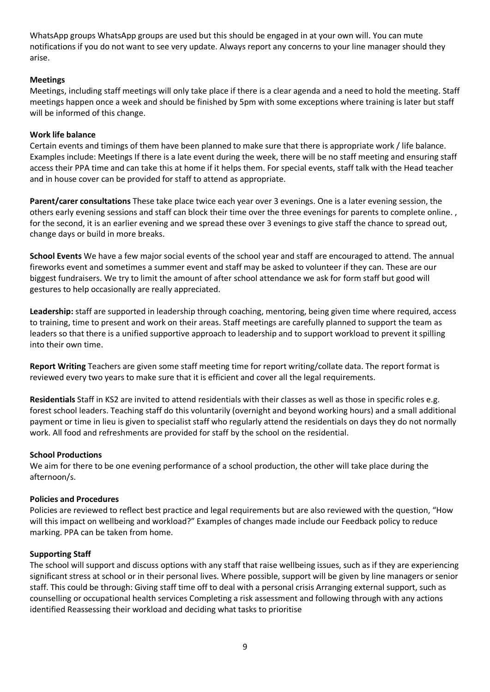WhatsApp groups WhatsApp groups are used but this should be engaged in at your own will. You can mute notifications if you do not want to see very update. Always report any concerns to your line manager should they arise.

## **Meetings**

Meetings, including staff meetings will only take place if there is a clear agenda and a need to hold the meeting. Staff meetings happen once a week and should be finished by 5pm with some exceptions where training is later but staff will be informed of this change.

#### **Work life balance**

Certain events and timings of them have been planned to make sure that there is appropriate work / life balance. Examples include: Meetings If there is a late event during the week, there will be no staff meeting and ensuring staff access their PPA time and can take this at home if it helps them. For special events, staff talk with the Head teacher and in house cover can be provided for staff to attend as appropriate.

**Parent/carer consultations** These take place twice each year over 3 evenings. One is a later evening session, the others early evening sessions and staff can block their time over the three evenings for parents to complete online. , for the second, it is an earlier evening and we spread these over 3 evenings to give staff the chance to spread out, change days or build in more breaks.

**School Events** We have a few major social events of the school year and staff are encouraged to attend. The annual fireworks event and sometimes a summer event and staff may be asked to volunteer if they can. These are our biggest fundraisers. We try to limit the amount of after school attendance we ask for form staff but good will gestures to help occasionally are really appreciated.

**Leadership:** staff are supported in leadership through coaching, mentoring, being given time where required, access to training, time to present and work on their areas. Staff meetings are carefully planned to support the team as leaders so that there is a unified supportive approach to leadership and to support workload to prevent it spilling into their own time.

Report Writing Teachers are given some staff meeting time for report writing/collate data. The report format is reviewed every two years to make sure that it is efficient and cover all the legal requirements.

**Residentials** Staff in KS2 are invited to attend residentials with their classes as well as those in specific roles e.g. forest school leaders. Teaching staff do this voluntarily (overnight and beyond working hours) and a small additional payment or time in lieu is given to specialist staff who regularly attend the residentials on days they do not normally work. All food and refreshments are provided for staff by the school on the residential.

#### **School Productions**

We aim for there to be one evening performance of a school production, the other will take place during the afternoon/s.

#### **Policies and Procedures**

Policies are reviewed to reflect best practice and legal requirements but are also reviewed with the question, "How will this impact on wellbeing and workload?" Examples of changes made include our Feedback policy to reduce marking. PPA can be taken from home.

#### **Supporting Staff**

The school will support and discuss options with any staff that raise wellbeing issues, such as if they are experiencing significant stress at school or in their personal lives. Where possible, support will be given by line managers or senior staff. This could be through: Giving staff time off to deal with a personal crisis Arranging external support, such as counselling or occupational health services Completing a risk assessment and following through with any actions identified Reassessing their workload and deciding what tasks to prioritise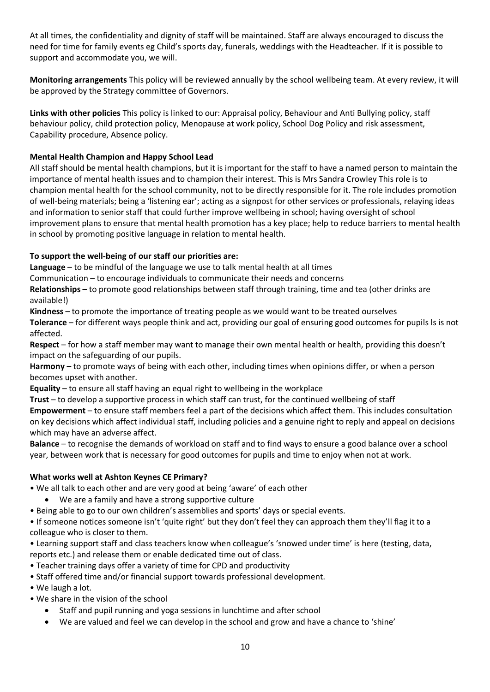At all times, the confidentiality and dignity of staff will be maintained. Staff are always encouraged to discuss the need for time for family events eg Child's sports day, funerals, weddings with the Headteacher. If it is possible to support and accommodate you, we will.

**Monitoring arrangements** This policy will be reviewed annually by the school wellbeing team. At every review, it will be approved by the Strategy committee of Governors.

**Links with other policies** This policy is linked to our: Appraisal policy, Behaviour and Anti Bullying policy, staff behaviour policy, child protection policy, Menopause at work policy, School Dog Policy and risk assessment, Capability procedure, Absence policy.

# **Mental Health Champion and Happy School Lead**

All staff should be mental health champions, but it is important for the staff to have a named person to maintain the importance of mental health issues and to champion their interest. This is Mrs Sandra Crowley This role is to champion mental health for the school community, not to be directly responsible for it. The role includes promotion of well-being materials; being a 'listening ear'; acting as a signpost for other services or professionals, relaying ideas and information to senior staff that could further improve wellbeing in school; having oversight of school improvement plans to ensure that mental health promotion has a key place; help to reduce barriers to mental health in school by promoting positive language in relation to mental health.

# **To support the well-being of our staff our priorities are:**

**Language** – to be mindful of the language we use to talk mental health at all times

Communication – to encourage individuals to communicate their needs and concerns

**Relationships** – to promote good relationships between staff through training, time and tea (other drinks are available!)

**Kindness** – to promote the importance of treating people as we would want to be treated ourselves

**Tolerance** – for different ways people think and act, providing our goal of ensuring good outcomes for pupils ls is not affected.

**Respect** – for how a staff member may want to manage their own mental health or health, providing this doesn't impact on the safeguarding of our pupils.

**Harmony** – to promote ways of being with each other, including times when opinions differ, or when a person becomes upset with another.

**Equality** – to ensure all staff having an equal right to wellbeing in the workplace

**Trust** – to develop a supportive process in which staff can trust, for the continued wellbeing of staff

**Empowerment** – to ensure staff members feel a part of the decisions which affect them. This includes consultation on key decisions which affect individual staff, including policies and a genuine right to reply and appeal on decisions which may have an adverse affect.

**Balance** – to recognise the demands of workload on staff and to find ways to ensure a good balance over a school year, between work that is necessary for good outcomes for pupils and time to enjoy when not at work.

## **What works well at Ashton Keynes CE Primary?**

- We all talk to each other and are very good at being 'aware' of each other
- We are a family and have a strong supportive culture
- Being able to go to our own children's assemblies and sports' days or special events.

• If someone notices someone isn't 'quite right' but they don't feel they can approach them they'll flag it to a colleague who is closer to them.

• Learning support staff and class teachers know when colleague's 'snowed under time' is here (testing, data, reports etc.) and release them or enable dedicated time out of class.

- Teacher training days offer a variety of time for CPD and productivity
- Staff offered time and/or financial support towards professional development.
- We laugh a lot.
- We share in the vision of the school
	- Staff and pupil running and yoga sessions in lunchtime and after school
	- We are valued and feel we can develop in the school and grow and have a chance to 'shine'